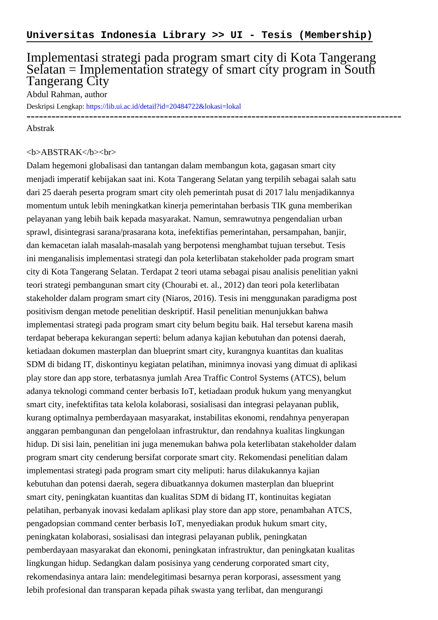# Implementasi strategi pada program smart city di Kota Tangerang Selatan = Implementation strategy of smart city program in South Tangerang City

------------------------------------------------------------------------------------------

Abdul Rahman, author

Deskripsi Lengkap:<https://lib.ui.ac.id/detail?id=20484722&lokasi=lokal>

#### Abstrak

## <b>ABSTRAK</b><br>

Dalam hegemoni globalisasi dan tantangan dalam membangun kota, gagasan smart city menjadi imperatif kebijakan saat ini. Kota Tangerang Selatan yang terpilih sebagai salah satu dari 25 daerah peserta program smart city oleh pemerintah pusat di 2017 lalu menjadikannya momentum untuk lebih meningkatkan kinerja pemerintahan berbasis TIK guna memberikan pelayanan yang lebih baik kepada masyarakat. Namun, semrawutnya pengendalian urban sprawl, disintegrasi sarana/prasarana kota, inefektifias pemerintahan, persampahan, banjir, dan kemacetan ialah masalah-masalah yang berpotensi menghambat tujuan tersebut. Tesis ini menganalisis implementasi strategi dan pola keterlibatan stakeholder pada program smart city di Kota Tangerang Selatan. Terdapat 2 teori utama sebagai pisau analisis penelitian yakni teori strategi pembangunan smart city (Chourabi et. al., 2012) dan teori pola keterlibatan stakeholder dalam program smart city (Niaros, 2016). Tesis ini menggunakan paradigma post positivism dengan metode penelitian deskriptif. Hasil penelitian menunjukkan bahwa implementasi strategi pada program smart city belum begitu baik. Hal tersebut karena masih terdapat beberapa kekurangan seperti: belum adanya kajian kebutuhan dan potensi daerah, ketiadaan dokumen masterplan dan blueprint smart city, kurangnya kuantitas dan kualitas SDM di bidang IT, diskontinyu kegiatan pelatihan, minimnya inovasi yang dimuat di aplikasi play store dan app store, terbatasnya jumlah Area Traffic Control Systems (ATCS), belum adanya teknologi command center berbasis IoT, ketiadaan produk hukum yang menyangkut smart city, inefektifitas tata kelola kolaborasi, sosialisasi dan integrasi pelayanan publik, kurang optimalnya pemberdayaan masyarakat, instabilitas ekonomi, rendahnya penyerapan anggaran pembangunan dan pengelolaan infrastruktur, dan rendahnya kualitas lingkungan hidup. Di sisi lain, penelitian ini juga menemukan bahwa pola keterlibatan stakeholder dalam program smart city cenderung bersifat corporate smart city. Rekomendasi penelitian dalam implementasi strategi pada program smart city meliputi: harus dilakukannya kajian kebutuhan dan potensi daerah, segera dibuatkannya dokumen masterplan dan blueprint smart city, peningkatan kuantitas dan kualitas SDM di bidang IT, kontinuitas kegiatan pelatihan, perbanyak inovasi kedalam aplikasi play store dan app store, penambahan ATCS, pengadopsian command center berbasis IoT, menyediakan produk hukum smart city, peningkatan kolaborasi, sosialisasi dan integrasi pelayanan publik, peningkatan pemberdayaan masyarakat dan ekonomi, peningkatan infrastruktur, dan peningkatan kualitas lingkungan hidup. Sedangkan dalam posisinya yang cenderung corporated smart city, rekomendasinya antara lain: mendelegitimasi besarnya peran korporasi, assessment yang lebih profesional dan transparan kepada pihak swasta yang terlibat, dan mengurangi